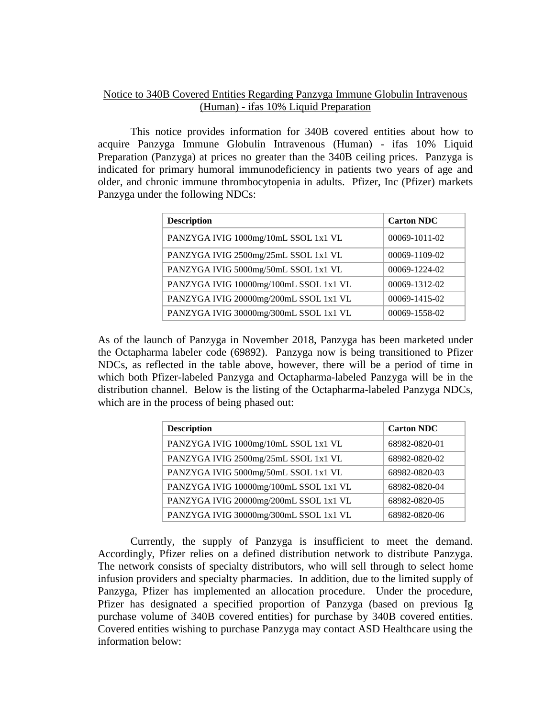## Notice to 340B Covered Entities Regarding Panzyga Immune Globulin Intravenous (Human) - ifas 10% Liquid Preparation

This notice provides information for 340B covered entities about how to acquire Panzyga Immune Globulin Intravenous (Human) - ifas 10% Liquid Preparation (Panzyga) at prices no greater than the 340B ceiling prices. Panzyga is indicated for primary humoral immunodeficiency in patients two years of age and older, and chronic immune thrombocytopenia in adults. Pfizer, Inc (Pfizer) markets Panzyga under the following NDCs:

| <b>Description</b>                     | <b>Carton NDC</b> |
|----------------------------------------|-------------------|
| PANZYGA IVIG 1000mg/10mL SSOL 1x1 VL   | 00069-1011-02     |
| PANZYGA IVIG 2500mg/25mL SSOL 1x1 VL   | 00069-1109-02     |
| PANZYGA IVIG 5000mg/50mL SSOL 1x1 VL   | 00069-1224-02     |
| PANZYGA IVIG 10000mg/100mL SSOL 1x1 VL | 00069-1312-02     |
| PANZYGA IVIG 20000mg/200mL SSOL 1x1 VL | 00069-1415-02     |
| PANZYGA IVIG 30000mg/300mL SSOL 1x1 VL | 00069-1558-02     |

As of the launch of Panzyga in November 2018, Panzyga has been marketed under the Octapharma labeler code (69892). Panzyga now is being transitioned to Pfizer NDCs, as reflected in the table above, however, there will be a period of time in which both Pfizer-labeled Panzyga and Octapharma-labeled Panzyga will be in the distribution channel. Below is the listing of the Octapharma-labeled Panzyga NDCs, which are in the process of being phased out:

| <b>Description</b>                     | <b>Carton NDC</b> |
|----------------------------------------|-------------------|
| PANZYGA IVIG 1000mg/10mL SSOL 1x1 VL   | 68982-0820-01     |
| PANZYGA IVIG 2500mg/25mL SSOL 1x1 VL   | 68982-0820-02     |
| PANZYGA IVIG 5000mg/50mL SSOL 1x1 VL   | 68982-0820-03     |
| PANZYGA IVIG 10000mg/100mL SSOL 1x1 VL | 68982-0820-04     |
| PANZYGA IVIG 20000mg/200mL SSOL 1x1 VL | 68982-0820-05     |
| PANZYGA IVIG 30000mg/300mL SSOL 1x1 VL | 68982-0820-06     |

Currently, the supply of Panzyga is insufficient to meet the demand. Accordingly, Pfizer relies on a defined distribution network to distribute Panzyga. The network consists of specialty distributors, who will sell through to select home infusion providers and specialty pharmacies. In addition, due to the limited supply of Panzyga, Pfizer has implemented an allocation procedure. Under the procedure, Pfizer has designated a specified proportion of Panzyga (based on previous Ig purchase volume of 340B covered entities) for purchase by 340B covered entities. Covered entities wishing to purchase Panzyga may contact ASD Healthcare using the information below: